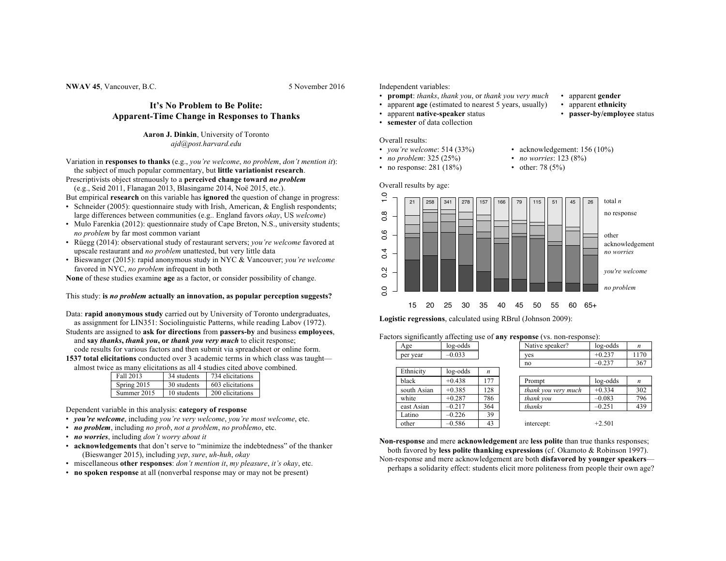**NWAV 45**, Vancouver, B.C. 5 November 2016

# **It's No Problem to Be Polite: Apparent-Time Change in Responses to Thanks**

## **Aaron J. Dinkin**, University of Toronto *ajd@post.harvard.edu*

Variation in **responses to thanks** (e.g., *you're welcome*, *no problem*, *don't mention it*): the subject of much popular commentary, but **little variationist research**.

Prescriptivists object strenuously to a **perceived change toward** *no problem* (e.g., Seid 2011, Flanagan 2013, Blasingame 2014, Noë 2015, etc.).

But empirical **research** on this variable has **ignored** the question of change in progress:

- Schneider (2005): questionnaire study with Irish, American, & English respondents; large differences between communities (e.g.. England favors *okay*, US *welcome*)
- Mulo Farenkia (2012): questionnaire study of Cape Breton, N.S., university students; *no problem* by far most common variant
- Rüegg (2014): observational study of restaurant servers; *you're welcome* favored at upscale restaurant and *no problem* unattested, but very little data
- Bieswanger (2015): rapid anonymous study in NYC & Vancouver; *you're welcome* favored in NYC, *no problem* infrequent in both

**None** of these studies examine **age** as a factor, or consider possibility of change.

# This study: **is** *no problem* **actually an innovation, as popular perception suggests?**

Data: **rapid anonymous study** carried out by University of Toronto undergraduates, as assignment for LIN351: Sociolinguistic Patterns, while reading Labov (1972).

- Students are assigned to **ask for directions** from **passers-by** and business **employees**, and **say** *thanks***,** *thank you***, or** *thank you very much* to elicit response; code results for various factors and then submit via spreadsheet or online form.
- **1537 total elicitations** conducted over 3 academic terms in which class was taught almost twice as many elicitations as all 4 studies cited above combined.

| Fall 2013   | 34 students | 734 elicitations |
|-------------|-------------|------------------|
| Spring 2015 | 30 students | 603 elicitations |
| Summer 2015 | 10 students | 200 elicitations |

Dependent variable in this analysis: **category of response**

- *you're welcome*, including *you're very welcome*, *you're most welcome*, etc.
- *no problem*, including *no prob*, *not a problem*, *no problemo*, etc.
- *no worries*, including *don't worry about it*
- **acknowledgements** that don't serve to "minimize the indebtedness" of the thanker (Bieswanger 2015), including *yep*, *sure*, *uh-huh*, *okay*
- miscellaneous **other responses**: *don't mention it*, *my pleasure*, *it's okay*, etc.
- **no spoken response** at all (nonverbal response may or may not be present)

## Independent variables:

- **prompt**: *thanks*, *thank you*, or *thank you very much* apparent **gender**
- apparent **age** (estimated to nearest 5 years, usually) apparent **ethnicity**
- apparent **native-speaker** status **passer-by/employee** status
- **semester** of data collection

Overall results:

- 
- *no problem*: 325 (25%) *no worries*: 123 (8%)
- no response:  $281 (18%)$  other: 78 (5%)
- 
- *you're welcome*: 514 (33%) acknowledgement: 156 (10%)
	-
	-



**Logistic regressions**, calculated using RBrul (Johnson 2009):

## Factors significantly affecting use of **any response** (vs. non-response):

| Age         | log-odds |                  |  | Native speaker?     | log-odds | $\boldsymbol{n}$ |
|-------------|----------|------------------|--|---------------------|----------|------------------|
| per year    | $-0.033$ |                  |  | yes                 | $+0.237$ | 1170             |
|             |          |                  |  | no                  | $-0.237$ | 367              |
| Ethnicity   | log-odds | $\boldsymbol{n}$ |  |                     |          |                  |
| black       | $+0.438$ | 177              |  | Prompt              | log-odds | $\boldsymbol{n}$ |
| south Asian | $+0.385$ | 128              |  | thank you very much | $+0.334$ | 302              |
| white       | $+0.287$ | 786              |  | thank vou           | $-0.083$ | 796              |
| east Asian  | $-0.217$ | 364              |  | thanks              | $-0.251$ | 439              |
| Latino      | $-0.226$ | 39               |  |                     |          |                  |
| other       | $-0.586$ | 43               |  | intercept:          | $+2.501$ |                  |
|             |          |                  |  |                     |          |                  |

**Non-response** and mere **acknowledgement** are **less polite** than true thanks responses; both favored by **less polite thanking expressions** (cf. Okamoto & Robinson 1997). Non-response and mere acknowledgement are both **disfavored by younger speakers** perhaps a solidarity effect: students elicit more politeness from people their own age?